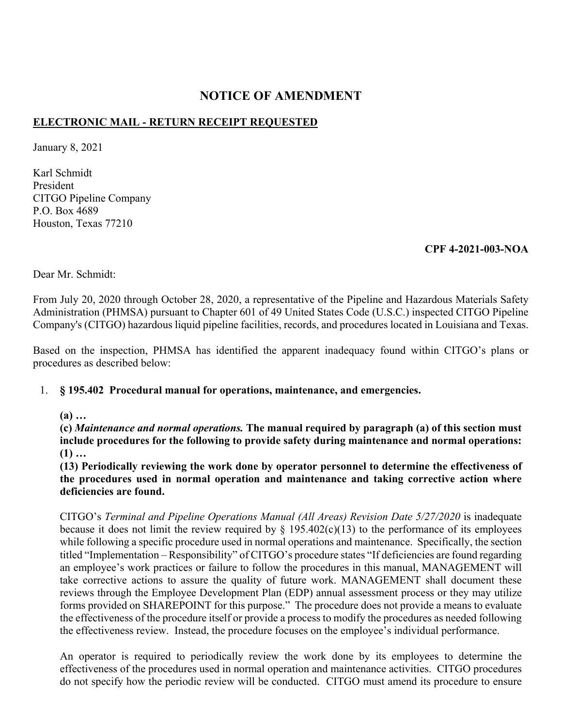### **NOTICE OF AMENDMENT**

# **ELECTRONIC MAIL - RETURN RECEIPT REQUESTED**

January 8, 2021

Karl Schmidt President CITGO Pipeline Company P.O. Box 4689 Houston, Texas 77210

### **CPF 4-2021-003-NOA**

Dear Mr. Schmidt:

From July 20, 2020 through October 28, 2020, a representative of the Pipeline and Hazardous Materials Safety Administration (PHMSA) pursuant to Chapter 601 of 49 United States Code (U.S.C.) inspected CITGO Pipeline Company's (CITGO) hazardous liquid pipeline facilities, records, and procedures located in Louisiana and Texas.

Based on the inspection, PHMSA has identified the apparent inadequacy found within CITGO's plans or procedures as described below:

## 1. **§ 195.402 Procedural manual for operations, maintenance, and emergencies.**

**(a) …** 

**(c)** *Maintenance and normal operations.* **The manual required by paragraph (a) of this section must include procedures for the following to provide safety during maintenance and normal operations: (1) …** 

**(13) Periodically reviewing the work done by operator personnel to determine the effectiveness of the procedures used in normal operation and maintenance and taking corrective action where deficiencies are found.** 

CITGO's *Terminal and Pipeline Operations Manual (All Areas) Revision Date 5/27/2020* is inadequate because it does not limit the review required by  $\S$  195.402(c)(13) to the performance of its employees while following a specific procedure used in normal operations and maintenance. Specifically, the section titled "Implementation – Responsibility" of CITGO's procedure states "If deficiencies are found regarding an employee's work practices or failure to follow the procedures in this manual, MANAGEMENT will take corrective actions to assure the quality of future work. MANAGEMENT shall document these reviews through the Employee Development Plan (EDP) annual assessment process or they may utilize forms provided on SHAREPOINT for this purpose." The procedure does not provide a means to evaluate the effectiveness of the procedure itself or provide a process to modify the procedures as needed following the effectiveness review. Instead, the procedure focuses on the employee's individual performance.

An operator is required to periodically review the work done by its employees to determine the effectiveness of the procedures used in normal operation and maintenance activities. CITGO procedures do not specify how the periodic review will be conducted. CITGO must amend its procedure to ensure